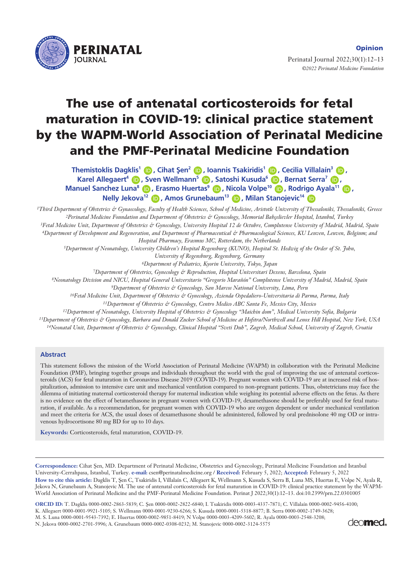

Perinatal Journal 2022;30(1):12–13 *©2022 Perinatal Medicine Foundation* 

# **The use of antenatal corticosteroids for fetal maturation in COVID-19: clinical practice statement by the WAPM-World Association of Perinatal Medicine and the PMF-Perinatal Medicine Foundation**

**Themistoklis Dagklis<sup>1</sup> <b>D**, Cihat Sen<sup>2</sup> **D**, Ioannis Tsakiridis<sup>1</sup> D, Cecilia Villalaín<sup>3</sup> D, **Nelly Jekova<sup>12</sup> (D), Amos Grunebaum<sup>13</sup> (D), Milan Stanojevic<sup>14</sup> (D Karel Allegaert<sup>4</sup> (D), Sven Wellmann<sup>5</sup> (D), Satoshi Kusuda<sup>6</sup> (D), Bernat Serra<sup>7</sup> (D), Manuel Sanchez Luna<sup>8</sup> (D), Erasmo Huertas<sup>9</sup> (D), Nicola Volpe<sup>10</sup> (D), Rodrigo Ayala<sup>11</sup> (D),** 

*1Third Department of Obstetrics & Gynaecology, Faculty of Health Sciences, School of Medicine, Aristotle University of Thessaloniki, Thessaloniki, Greece 2Perinatal Medicine Foundation and Department of Obstetrics & Gynecology, Memorial Bahçelievler Hospital, Istanbul, Turkey 3Fetal Medicine Unit, Department of Obstetrics & Gynecology, University Hospital 12 de Octubre, Complutense University of Madrid, Madrid, Spain 4Department of Development and Regeneration, and Department of Pharmaceutical & Pharmacological Sciences, KU Leuven, Leuven, Belgium; and Hospital Pharmacy, Erasmus MC, Rotterdam, the Netherlands*

*5Department of Neonatology, University Children's Hospital Regensburg (KUNO), Hospital St. Hedwig of the Order of St. John,* 

*University of Regensburg, Regensburg, Germany*

*6Department of Pediatrics, Kyorin University, Tokyo, Japan*

*7Department of Obstetrics, Gynecology & Reproduction, Hospital Universitari Dexeus, Barcelona, Spain*

*8Neonatology Division and NICU, Hospital General Universitario "Gregorio Marañón" Complutense University of Madrid, Madrid, Spain 9Department of Obstetrics & Gynecology, San Marcos National University, Lima, Peru*

*10Fetal Medicine Unit, Department of Obstetrics & Gynecology, Azienda Ospedaliero-Universitaria di Parma, Parma, Italy 11Department of Obstetrics & Gynecology, Centro Medico ABC Santa Fe, Mexico City, Mexico*

*12Department of Neonatology, University Hospital of Obstetrics & Gynecology "Maichin dom", Medical University Sofia, Bulgaria*

*13Department of Obstetrics & Gynecology, Barbara and Donald Zucker School of Medicine at Hofstra/Northwell and Lenox Hill Hospital, New York, USA*

*14Neonatal Unit, Department of Obstetrics & Gynecology, Clinical Hospital "Sveti Duh", Zagreb, Medical School, University of Zagreb, Croatia*

### **Abstract**

This statement follows the mission of the World Association of Perinatal Medicine (WAPM) in collaboration with the Perinatal Medicine Foundation (PMF), bringing together groups and individuals throughout the world with the goal of improving the use of antenatal corticosteroids (ACS) for fetal maturation in Coronavirus Disease 2019 (COVID-19). Pregnant women with COVID-19 are at increased risk of hospitalization, admission to intensive care unit and mechanical ventilation compared to non-pregnant patients. Thus, obstetricians may face the dilemma of initiating maternal corticosteroid therapy for maternal indication while weighing its potential adverse effects on the fetus. As there is no evidence on the effect of betamethasone in pregnant women with COVID-19, dexamethasone should be preferably used for fetal maturation, if available. As a recommendation, for pregnant women with COVID-19 who are oxygen dependent or under mechanical ventilation and meet the criteria for ACS, the usual doses of dexamethasone should be administered, followed by oral prednisolone 40 mg OD or intravenous hydrocortisone 80 mg BD for up to 10 days.

**Keywords:** Corticosteroids, fetal maturation, COVID-19.

**Correspondence:** Cihat fien, MD. Department of Perinatal Medicine, Obstetrics and Gynecology, Perinatal Medicine Foundation and Istanbul University-Cerrahpasa, Istanbul, Turkey. **e-mail:** csen@perinatalmedicine.org / **Received:** February 5, 2022; **Accepted:** February 5, 2022 How to cite this article: Dagklis T, Şen C, Tsakiridis I, Villalaín C, Allegaert K, Wellmann S, Kusuda S, Serra B, Luna MS, Huertas E, Volpe N, Ayala R, Jekova N, Grunebaum A, Stanojevic M. The use of antenatal corticosteroids for fetal maturation in COVID-19: clinical practice statement by the WAPM-World Association of Perinatal Medicine and the PMF-Perinatal Medicine Foundation. Perinat J 2022;30(1):12–13. doi:10.2399/prn.22.0301005

**ORCID ID:** T. Dagklis 0000-0002-2863-5839; C. fien 0000-0002-2822-6840; I. Tsakiridis 0000-0003-4337-7871; C. Villalaín 0000-0002-9456-4100; K. Allegaert 0000-0001-9921-5105; S. Wellmann 0000-0001-9230-6266; S. Kusuda 0000-0001-5318-8877; B. Serra 0000-0002-1749-3628; M. S. Luna 0000-0001-9543-7392; E. Huertas 0000-0002-9851-8419; N Volpe 0000-0003-4209-5602; R. Ayala 0000-0003-2548-3208; N. Jekova 0000-0002-2701-5996; A. Grunebaum 0000-0002-0308-0232; M. Stanojevic 0000-0002-3124-5575